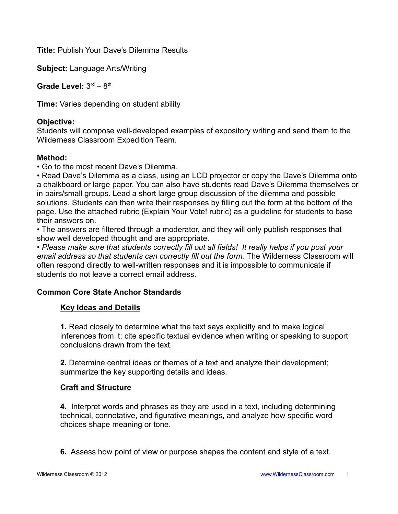**Title:** Publish Your Dave's Dilemma Results

**Subject:** Language Arts/Writing

Grade Level:  $3<sup>rd</sup> - 8<sup>th</sup>$ 

**Time:** Varies depending on student ability

## **Objective:**

Students will compose well-developed examples of expository writing and send them to the Wilderness Classroom Expedition Team.

## **Method:**

• Go to the most recent Dave's Dilemma.

• Read Dave's Dilemma as a class, using an LCD projector or copy the Dave's Dilemma onto a chalkboard or large paper. You can also have students read Dave's Dilemma themselves or in pairs/small groups. Lead a short large group discussion of the dilemma and possible solutions. Students can then write their responses by filling out the form at the bottom of the page. Use the attached rubric (Explain Your Vote! rubric) as a guideline for students to base their answers on.

• The answers are filtered through a moderator, and they will only publish responses that show well developed thought and are appropriate.

*• Please make sure that students correctly fill out all fields! It really helps if you post your email address so that students can correctly fill out the form.* The Wilderness Classroom will often respond directly to well-written responses and it is impossible to communicate if students do not leave a correct email address.

# **Common Core State Anchor Standards**

### **Key Ideas and Details**

**1.** Read closely to determine what the text says explicitly and to make logical inferences from it; cite specific textual evidence when writing or speaking to support conclusions drawn from the text.

**2.** Determine central ideas or themes of a text and analyze their development; summarize the key supporting details and ideas.

### **Craft and Structure**

**4.** Interpret words and phrases as they are used in a text, including determining technical, connotative, and figurative meanings, and analyze how specific word choices shape meaning or tone.

**6.** Assess how point of view or purpose shapes the content and style of a text.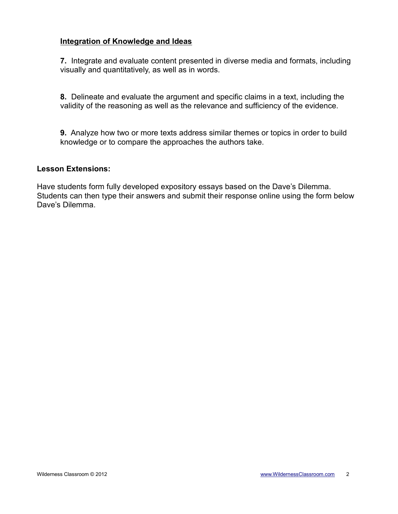### **Integration of Knowledge and Ideas**

**7.** Integrate and evaluate content presented in diverse media and formats, including visually and quantitatively, as well as in words.

**8.** Delineate and evaluate the argument and specific claims in a text, including the validity of the reasoning as well as the relevance and sufficiency of the evidence.

**9.** Analyze how two or more texts address similar themes or topics in order to build knowledge or to compare the approaches the authors take.

#### **Lesson Extensions:**

Have students form fully developed expository essays based on the Dave's Dilemma. Students can then type their answers and submit their response online using the form below Dave's Dilemma.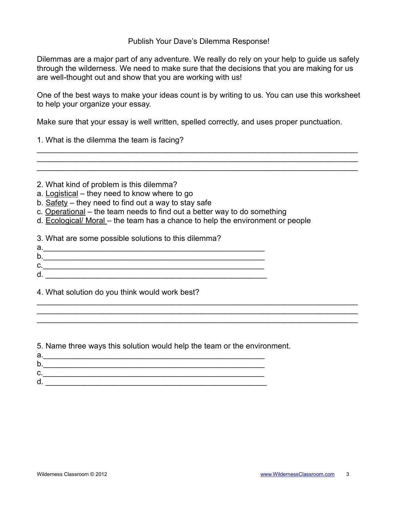Publish Your Dave's Dilemma Response!

Dilemmas are a major part of any adventure. We really do rely on your help to guide us safely through the wilderness. We need to make sure that the decisions that you are making for us are well-thought out and show that you are working with us!

One of the best ways to make your ideas count is by writing to us. You can use this worksheet to help your organize your essay.

\_\_\_\_\_\_\_\_\_\_\_\_\_\_\_\_\_\_\_\_\_\_\_\_\_\_\_\_\_\_\_\_\_\_\_\_\_\_\_\_\_\_\_\_\_\_\_\_\_\_\_\_\_\_\_\_\_\_\_\_\_\_\_\_\_\_\_\_\_\_\_\_\_\_

\_\_\_\_\_\_\_\_\_\_\_\_\_\_\_\_\_\_\_\_\_\_\_\_\_\_\_\_\_\_\_\_\_\_\_\_\_\_\_\_\_\_\_\_\_\_\_\_\_\_\_\_\_\_\_\_\_\_\_\_\_\_\_\_\_\_\_\_\_\_\_\_\_\_  $\_$  , and the contribution of the contribution of  $\mathcal{L}_\mathcal{A}$  , and the contribution of  $\mathcal{L}_\mathcal{A}$ 

 $\mathcal{L}_\mathcal{L} = \{ \mathcal{L}_\mathcal{L} = \{ \mathcal{L}_\mathcal{L} = \{ \mathcal{L}_\mathcal{L} = \{ \mathcal{L}_\mathcal{L} = \{ \mathcal{L}_\mathcal{L} = \{ \mathcal{L}_\mathcal{L} = \{ \mathcal{L}_\mathcal{L} = \{ \mathcal{L}_\mathcal{L} = \{ \mathcal{L}_\mathcal{L} = \{ \mathcal{L}_\mathcal{L} = \{ \mathcal{L}_\mathcal{L} = \{ \mathcal{L}_\mathcal{L} = \{ \mathcal{L}_\mathcal{L} = \{ \mathcal{L}_\mathcal{$ 

Make sure that your essay is well written, spelled correctly, and uses proper punctuation.

1. What is the dilemma the team is facing?

- 2. What kind of problem is this dilemma?
- a. Logistical they need to know where to go
- b. Safety they need to find out a way to stay safe
- c. Operational the team needs to find out a better way to do something
- d. Ecological/ Moral the team has a chance to help the environment or people

3. What are some possible solutions to this dilemma?

- a.\_\_\_\_\_\_\_\_\_\_\_\_\_\_\_\_\_\_\_\_\_\_\_\_\_\_\_\_\_\_\_\_\_\_\_\_\_\_\_\_\_\_\_\_\_\_\_\_\_\_\_ b.\_\_\_\_\_\_\_\_\_\_\_\_\_\_\_\_\_\_\_\_\_\_\_\_\_\_\_\_\_\_\_\_\_\_\_\_\_\_\_\_\_\_\_\_\_\_\_\_\_\_\_
- c.\_\_\_\_\_\_\_\_\_\_\_\_\_\_\_\_\_\_\_\_\_\_\_\_\_\_\_\_\_\_\_\_\_\_\_\_\_\_\_\_\_\_\_\_\_\_\_\_\_\_\_
- d. \_\_\_\_\_\_\_\_\_\_\_\_\_\_\_\_\_\_\_\_\_\_\_\_\_\_\_\_\_\_\_\_\_\_\_\_\_\_\_\_\_\_\_\_\_\_\_\_\_\_\_

4. What solution do you think would work best?

5. Name three ways this solution would help the team or the environment.

| а. |  |
|----|--|
| b. |  |
| u. |  |
| d. |  |
|    |  |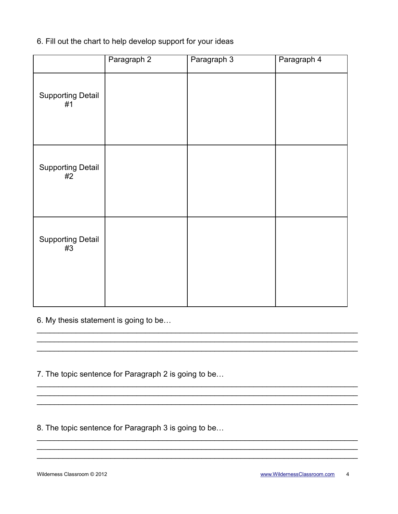# 6. Fill out the chart to help develop support for your ideas

|                                | Paragraph 2 | Paragraph 3 | Paragraph 4 |
|--------------------------------|-------------|-------------|-------------|
| <b>Supporting Detail</b><br>#1 |             |             |             |
| <b>Supporting Detail</b><br>#2 |             |             |             |
| <b>Supporting Detail</b><br>#3 |             |             |             |

6. My thesis statement is going to be...

7. The topic sentence for Paragraph 2 is going to be...

8. The topic sentence for Paragraph 3 is going to be...

Wilderness Classroom © 2012

www.WildernessClassroom.com 4